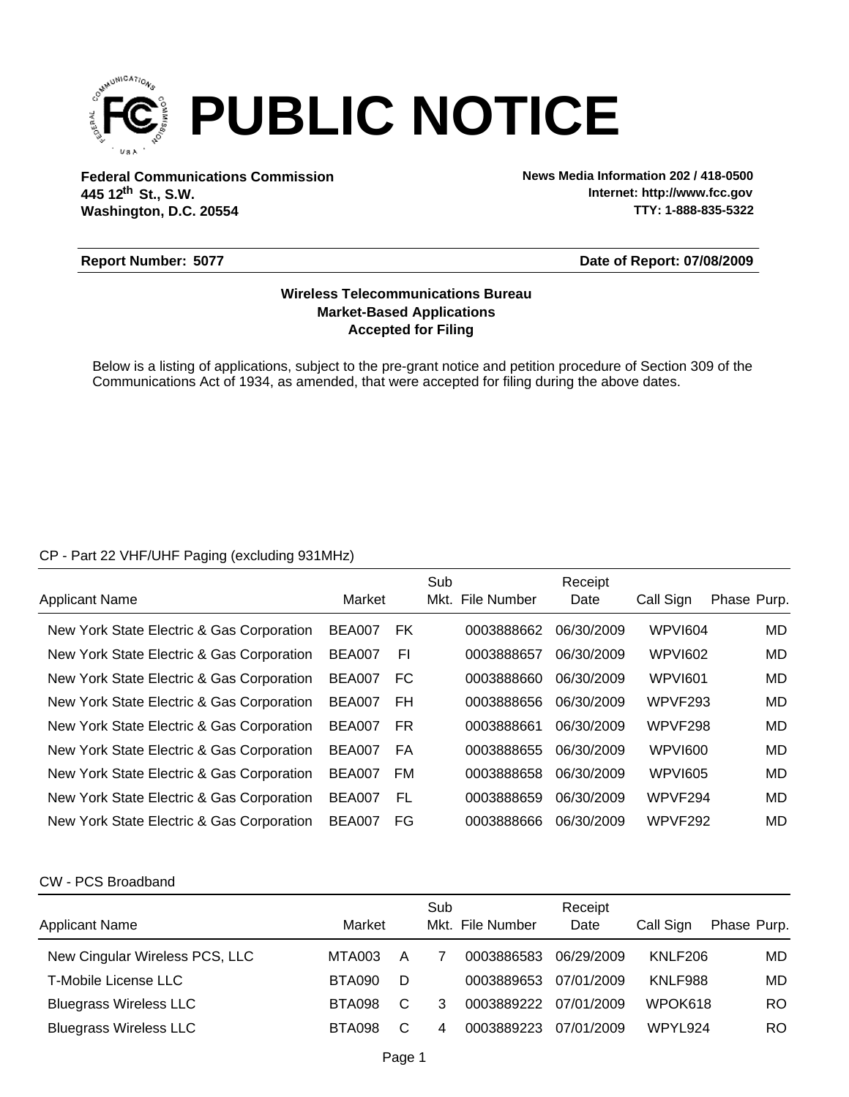

**Federal Communications Commission News Media Information 202 / 418-0500 Washington, D.C. 20554 th 445 12 St., S.W.**

**Internet: http://www.fcc.gov TTY: 1-888-835-5322**

### **Report Number: 5077**

### **Date of Report: 07/08/2009**

# **Accepted for Filing Market-Based Applications Wireless Telecommunications Bureau**

Below is a listing of applications, subject to the pre-grant notice and petition procedure of Section 309 of the Communications Act of 1934, as amended, that were accepted for filing during the above dates.

### CP - Part 22 VHF/UHF Paging (excluding 931MHz)

|                                           |               |           | Sub |                  | Receipt    |                |             |
|-------------------------------------------|---------------|-----------|-----|------------------|------------|----------------|-------------|
| <b>Applicant Name</b>                     | Market        |           |     | Mkt. File Number | Date       | Call Sign      | Phase Purp. |
| New York State Electric & Gas Corporation | <b>BEA007</b> | <b>FK</b> |     | 0003888662       | 06/30/2009 | <b>WPVI604</b> | MD          |
| New York State Electric & Gas Corporation | <b>BEA007</b> | EI        |     | 0003888657       | 06/30/2009 | <b>WPVI602</b> | MD          |
| New York State Electric & Gas Corporation | <b>BEA007</b> | FC        |     | 0003888660       | 06/30/2009 | WPVI601        | MD          |
| New York State Electric & Gas Corporation | <b>BEA007</b> | FH        |     | 0003888656       | 06/30/2009 | WPVF293        | MD          |
| New York State Electric & Gas Corporation | <b>BEA007</b> | FR.       |     | 0003888661       | 06/30/2009 | WPVF298        | MD          |
| New York State Electric & Gas Corporation | <b>BEA007</b> | FA        |     | 0003888655       | 06/30/2009 | WPVI600        | MD          |
| New York State Electric & Gas Corporation | <b>BEA007</b> | <b>FM</b> |     | 0003888658       | 06/30/2009 | <b>WPVI605</b> | MD          |
| New York State Electric & Gas Corporation | <b>BEA007</b> | FL        |     | 0003888659       | 06/30/2009 | WPVF294        | MD          |
| New York State Electric & Gas Corporation | <b>BEA007</b> | FG        |     | 0003888666       | 06/30/2009 | WPVF292        | MD          |

#### CW - PCS Broadband

| <b>Applicant Name</b>          | Market        |   | Sub | Mkt. File Number | Receipt<br>Date | Call Sign | Phase Purp. |
|--------------------------------|---------------|---|-----|------------------|-----------------|-----------|-------------|
| New Cingular Wireless PCS, LLC | MTA003        | A |     | 0003886583       | 06/29/2009      | KNLF206   | MD.         |
| <b>T-Mobile License LLC</b>    | <b>BTA090</b> | D |     | 0003889653       | 07/01/2009      | KNLF988   | MD.         |
| <b>Bluegrass Wireless LLC</b>  | <b>BTA098</b> | C | 3   | 0003889222       | 07/01/2009      | WPOK618   | RO.         |
| <b>Bluegrass Wireless LLC</b>  | <b>BTA098</b> | C | 4   | 0003889223       | 07/01/2009      | WPYL924   | RO.         |
|                                |               |   |     |                  |                 |           |             |